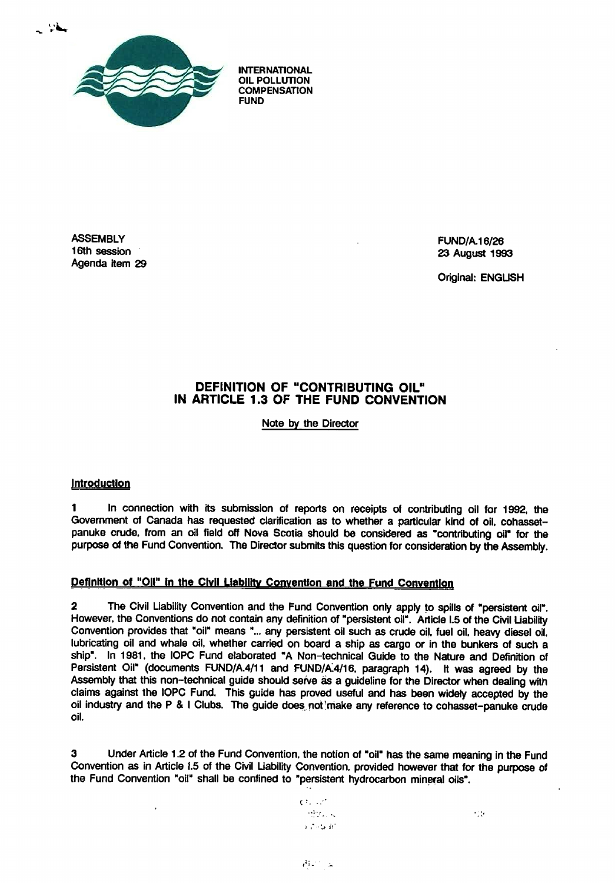

**INTERNATIONAL OIL POLLUTION COMPENSATION**

**ASSEMBLY FUND/A.16/26 Agenda item 29**

**16th session 23 August 1993**

**Original: ENGLISH**

# **DEFINITION OF "CONTRIBUTING OIL" IN ARTICLE 1.3 OF THE FUND CONVENTION**

**Note by the Director**

## **Introduction**

 $\bar{J}$ 

1 In connection with its submission of reports on receipts of contributing oil for 1992, the Government of Canada has requested clarification as to whether a particular kind of oil, cohassetpanuke crude, from an oil field off Nova Scotia should be considered as "contributing oil" for the purpose of the Fund Convention. The Director submits this question for consideration by the Assembly.

# **Defnftlon of "Oil" in the Civil LlagJlfty Convention and the Fund CQnyqntion;**

2 The Civil Liability Convention and the Fund Convention only apply to spills of "persistent oil". However, the Conventions do not contain any definition of "persistent oil" . Article 1.5 of the Civil Liability Convention provides that "oil" means "... any persistent oil such as crude oil, fuel oil, heavy diesel oil. lubricating oil and whale oil, whether carried on board a ship as cargo or in the bunkers of such a ship". In 1981, the IOPC Fund elaborated "A Non-technical Guide to the Nature and Definition of Persistent Oil" (documents FUND/A.4/11 and FUND/A.4/16, paragraph 14). It was agreed by the Assembly that this non-technical guide should serve as a guideline for the Director when dealing with claims against the IOPC Fund. This guide has proved useful and has been widely accepted by the oil industry and the P & I Clubs. The guide does not 'make any reference to cohasset-panuke crude oil.

3 Under Article 1 .2 of the Fund Convention, the notion of "oil" has the same meaning in the Fund Convention as in Article 1.5 of the Civil Liability Convention, provided however that for the purpose of the Fund Convention "oil" shall be confined to "persistent hydrocarbon mineral oils" .

 $C^{\frac{1}{2}}$  ,  $C^{\frac{1}{2}}$  $\sim$  1.0  $\sim$  $\sim 7.6$  km  $\approx 0.7$ 

 $\sim$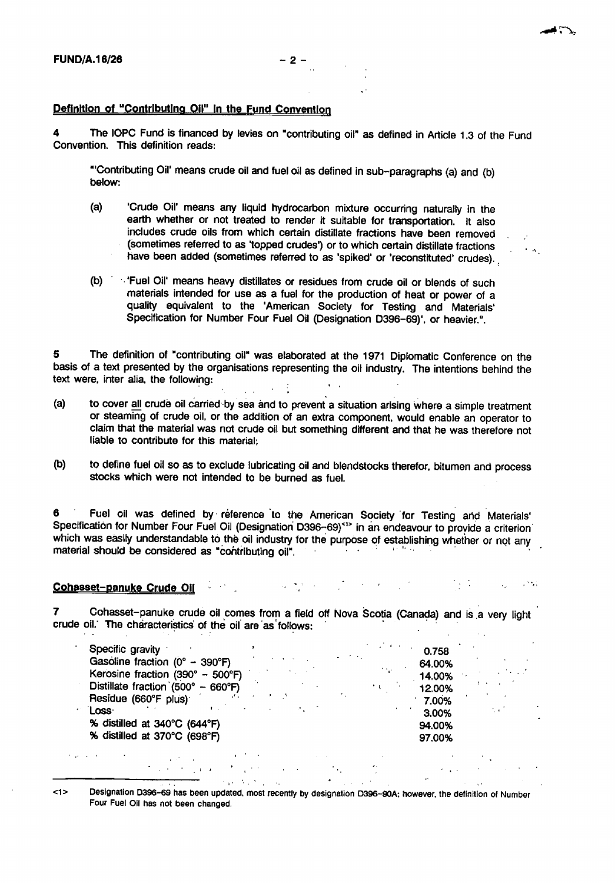**-odd : a,.**

#### **Definition of "Contributing Oil" In the Fund Conventio n**

The IOPC Fund is financed by levies on "contributing oil" as defined in Article 1.3 of the Fund Convention. This definition reads:

"'Contributing Oil' means crude oil and fuel oil as defined in sub-paragraphs (a) and (b) below:

- (a) 'Crude Oil' means any liquid hydrocarbon mixture occurring naturally in the earth whether or not treated to render it suitable for transportation. It also includes crude oils from which certain distillate fractions have been removed (sometimes referred to as 'topped crudes') or to which certain distillate fractions have been added (sometimes referred to as 'spiked' or 'reconstituted' crudes).
- (b) '' 'Fuel Oil' means heavy distillates or residues from crude oil or blends of such materials intended for use as a fuel for the production of heat or power of a quality equivalent to the 'American Society for Testing and Materials' Specification for Number Four Fuel Oil (Designation D396-69)', or heavier.".

5 The definition of "contributing oil" was elaborated at the 1971 Diplomatic Conference on the basis of a text presented by the organisations representing the oil industry. The intentions behind the text were, inter alia, the following:  $\mathcal{L} \in \mathcal{L}$  $\mathbf{A}=\mathbf{A}$ 

- (a) to cover all crude oil carried by sea and to prevent a situation arising where a simple treatment or steaming of crude oil, or the addition of an extra component, would enable an operator to claim that the material was not crude oil but something different and that he was therefore not liable to contribute for this material :
- (b) to define fuel oil so as to exclude lubricating oil and blendstocks therefor, bitumen and process stocks which were not intended to be burned as fuel.

**6 Fuel oil was defined by reference 'to the American Society 'for Testing and Materials' Specification for Number Four Fuel Oil (Designation' D396--69)< ' <sup>&</sup>gt; in an endeavour to provide a criterion \*** which was easily understandable to the oil industry for the purpose of establishing whether or not any **material should be considered as "contributing oil" ,**

#### 医神经性 医血管 医血管 医单位的 医白色素 医白细胞 Cohasset-panuke Crude Oil

7 Cohasset-panuke crude oil comes from a field off Nova Scotia (Canada) and is a very light crude oil.' The characteristics of the oil are as follows:

| Specific gravity                                   |        | 0.758  |  |
|----------------------------------------------------|--------|--------|--|
| Gasoline fraction ( $0^{\circ}$ – 390°F)           |        | 64.00% |  |
| Kerosine fraction (390° - 500°F)                   | 10,000 | 14.00% |  |
| Distillate fraction $(500^{\circ} - 660^{\circ}F)$ | ٠.     | 12.00% |  |
| Residue (660°F plus)                               |        | 7.00%  |  |
| Loss·                                              |        | 3.00%  |  |
| % distilled at 340°C (644°F)                       |        | 94.00% |  |
| % distilled at 370°C (698°F)                       |        | 97.00% |  |
|                                                    |        |        |  |

**<1> Designation D396-69 has been updated, most recently by designation D396-90A : however, the definition of Numbe <sup>r</sup> Four Fuel Oil has not been changed.**

 $\mathcal{L}^{\text{max}}_{\text{max}}$  , where  $\mathcal{L}^{\text{max}}_{\text{max}}$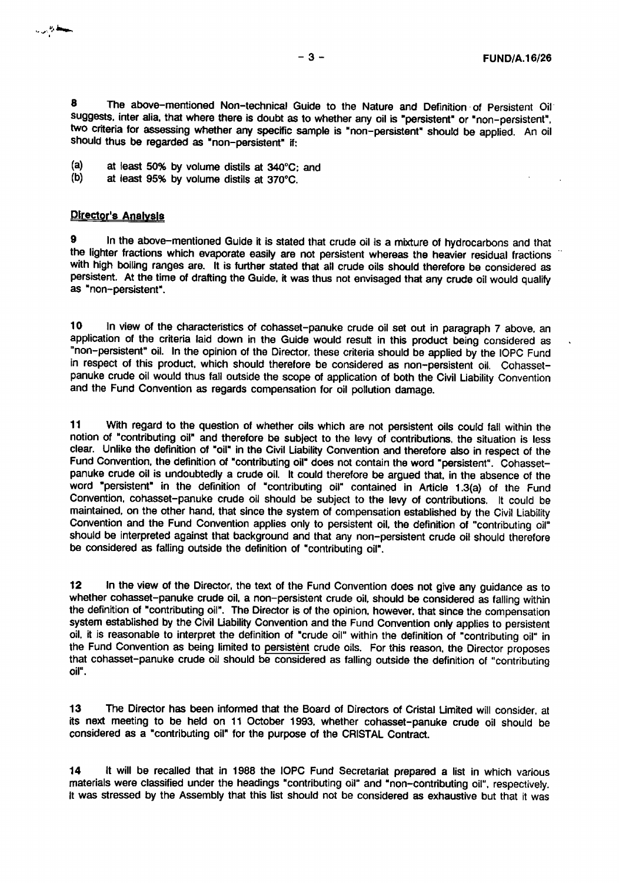8 The above-mentioned Non-technical Guide to the Nature and Definition of Persistent Oil suggests, inter alia, that where there is doubt as to whether any oil is "persistent" or "non-persistent", two criteria for assessing whether any specific sample is "non-persistent" should be applied. An oil should thus be regarded as "non-persistent" if:

- **(a) at least 50% by volume distils at 340°C: and**
- at least 95% by volume distils at 370°C.

### **Director's Analysis**

In the above-mentioned Guide it is stated that crude oil is a mixture of hydrocarbons and that the lighter fractions which evaporate easily are not persistent whereas the heavier residual fractions with high boiling ranges are. It is further stated that all crude oils should therefore be considered as persistent. At the time of drafting the Guide, it was thus not envisaged that any crude oil would qualify as "non-persistent" .

10 in view of the characteristics of cohasset-panuke crude oil set out in paragraph 7 above, an application of the criteria laid down in the Guide would result in this product being considered as 1. non-persistent" oil . In the opinion of the Director, these criteria should be applied by the IOPC Fund in respect of this product, which should therefore be considered as non-persistent oil. Cohassetpanuke crude oil would thus fall outside the scope of application of both the Civil Liability Convention and the Fund Convention as regards compensation for oil pollution damage.

11 With regard to the question of whether oils which are not persistent oils could fall within the notion of "contributing oil" and therefore be subject to the levy of contributions, the situation is less clear. Unlike the definition of "oil" in the Civil Liability Convention and therefore also in respect of the Fund Convention, the definition of "contributing oil" does not contain the word "persistent". Cohassetpanuke crude oil is undoubtedly a crude oil. It could therefore be argued that, in the absence of the word "persistent" in the definition of "contributing oil" contained in Article 1 .3(a) of the Fund Convention, cohasset-panuke crude oil should be subject to the levy of contributions. It could be maintained, on the other hand, that since the system of compensation established by the Civil Liability Convention and the Fund Convention applies only to persistent oil, the definition of "contributing oil" should be interpreted against that background and that any non-persistent crude oil should therefore be considered as failing outside the definition of "contributing oil" .

12 In the view of the Director, the text of the Fund Convention does not give any guidance as to whether cohasset-panuke crude oil, a non-persistent crude oil, should be considered as falling within the definition of "contributing oil". The Director is of the opinion, however, that since the compensation system established by the Civil Liability Convention and the Fund Convention only applies to persistent oil, it is reasonable to interpret the definition of "crude oil" within the definition of "contributing oil" in the Fund Convention as being limited to persistent crude oils. For this reason, the Director proposes that cohasset-panuke crude oil should be considered as falling outside the definition of "contributing oil".

13 The Director has been informed that the Board of Directors of Cristal Limited will consider, at its next meeting to be held on 11 October 1993, whether cohasset-panuke crude oil should be considered as a "contributing oil" for the purpose of the CRISTAL Contract.

14 It will be recalled that in 1988 the IOPC Fund Secretariat prepared a list in which various materials were classified under the headings "contributing oil" and "non-contributing oil", respectively. It was stressed by the Assembly that this list should not be considered as exhaustive but that it was